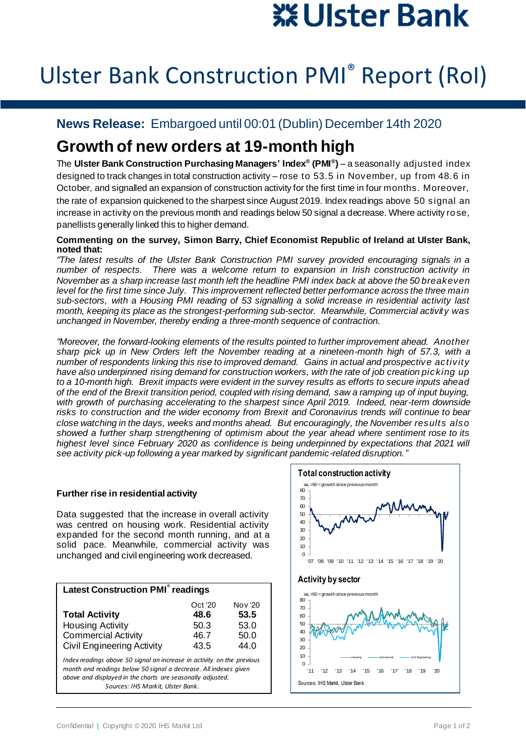# ※ Ulster Bank

## Ulster Bank Construction PMI® Report (RoI)

### **News Release:** Embargoed until 00:01 (Dublin) December 14th 2020

## **Growth of new orders at 19-month high**

The **Ulster Bank Construction Purchasing Managers' Index® (PMI® )** – a seasonally adjusted index designed to track changes in total construction activity – rose to 53.5 in November, up from 48.6 in October, and signalled an expansion of construction activity for the first time in four months. Moreover,

the rate of expansion quickened to the sharpest since August 2019. Index readings above 50 signal an increase in activity on the previous month and readings below 50 signal a decrease. Where activity rose, panellists generally linked this to higher demand.

#### **Commenting on the survey, Simon Barry, Chief Economist Republic of Ireland at Ulster Bank, noted that:**

*"The latest results of the Ulster Bank Construction PMI survey provided encouraging signals in a number of respects. There was a welcome return to expansion in Irish construction activity in November as a sharp increase last month left the headline PMI index back at above the 50 breakeven level for the first time since July. This improvement reflected better performance across the three main sub-sectors, with a Housing PMI reading of 53 signalling a solid increase in residential activity last month, keeping its place as the strongest-performing sub-sector. Meanwhile, Commercial activity was unchanged in November, thereby ending a three-month sequence of contraction.*

*"Moreover, the forward-looking elements of the results pointed to further improvement ahead. Another sharp pick up in New Orders left the November reading at a nineteen-month high of 57.3, with a number of respondents linking this rise to improved demand. Gains in actual and prospective activity have also underpinned rising demand for construction workers, with the rate of job creation picking up to a 10-month high. Brexit impacts were evident in the survey results as efforts to secure inputs ahead of the end of the Brexit transition period, coupled with rising demand, saw a ramping up of input buying, with growth of purchasing accelerating to the sharpest since April 2019. Indeed, near-term downside risks to construction and the wider economy from Brexit and Coronavirus trends will continue to bear close watching in the days, weeks and months ahead. But encouragingly, the November results also showed a further sharp strengthening of optimism about the year ahead where sentiment rose to its*  highest level since February 2020 as confidence is being underpinned by expectations that 2021 will *see activity pick-up following a year marked by significant pandemic-related disruption."*

#### **Further rise in residential activity**

Data suggested that the increase in overall activity was centred on housing work. Residential activity expanded for the second month running, and at a solid pace. Meanwhile, commercial activity was unchanged and civil engineering work decreased.

| <b>Latest Construction PMI<sup>®</sup> readings</b>                                                                                                                                                                                           |                                         |                                         |
|-----------------------------------------------------------------------------------------------------------------------------------------------------------------------------------------------------------------------------------------------|-----------------------------------------|-----------------------------------------|
| <b>Total Activity</b><br><b>Housing Activity</b><br><b>Commercial Activity</b><br><b>Civil Engineering Activity</b>                                                                                                                           | Oct '20<br>48.6<br>50.3<br>46.7<br>43.5 | Nov '20<br>53.5<br>53.0<br>50.0<br>44.0 |
| Index readings above 50 signal an increase in activity on the previous<br>month and readings below 50 signal a decrease. All indexes given<br>above and displayed in the charts are seasonally adjusted.<br>Sources: IHS Markit, Ulster Bank. |                                         |                                         |